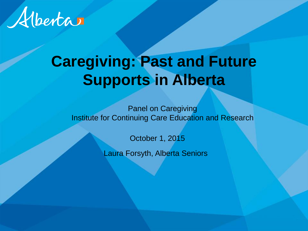

# **Caregiving: Past and Future Supports in Alberta**

Panel on Caregiving Institute for Continuing Care Education and Research

October 1, 2015

Laura Forsyth, Alberta Seniors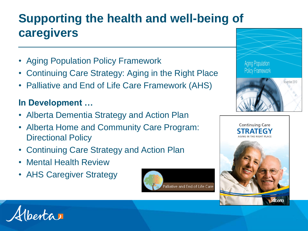#### **Supporting the health and well-being of caregivers**

- Aging Population Policy Framework
- Continuing Care Strategy: Aging in the Right Place
- Palliative and End of Life Care Framework (AHS)

#### **In Development …**

- Alberta Dementia Strategy and Action Plan
- Alberta Home and Community Care Program: Directional Policy
- Continuing Care Strategy and Action Plan
- Mental Health Review
- AHS Caregiver Strategy







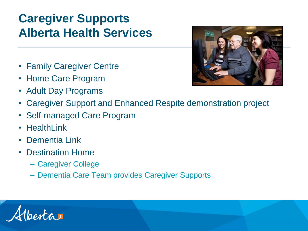### **Caregiver Supports Alberta Health Services**

- Family Caregiver Centre
- Home Care Program
- Adult Day Programs



- Caregiver Support and Enhanced Respite demonstration project
- Self-managed Care Program
- HealthLink
- Dementia Link
- Destination Home
	- Caregiver College
	- Dementia Care Team provides Caregiver Supports

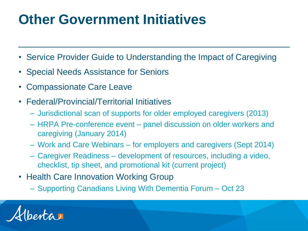# **Other Government Initiatives**

- Service Provider Guide to Understanding the Impact of Caregiving
- Special Needs Assistance for Seniors
- Compassionate Care Leave
- Federal/Provincial/Territorial Initiatives
	- Jurisdictional scan of supports for older employed caregivers (2013)
	- HRPA Pre-conference event panel discussion on older workers and caregiving (January 2014)
	- Work and Care Webinars for employers and caregivers (Sept 2014)
	- Caregiver Readiness development of resources, including a video, checklist, tip sheet, and promotional kit (current project)
- Health Care Innovation Working Group
	- Supporting Canadians Living With Dementia Forum Oct 23

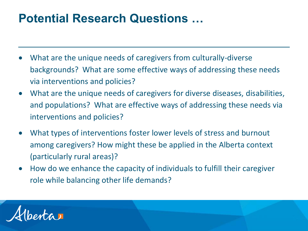#### **Potential Research Questions …**

- What are the unique needs of caregivers from culturally-diverse backgrounds? What are some effective ways of addressing these needs via interventions and policies?
- What are the unique needs of caregivers for diverse diseases, disabilities, and populations? What are effective ways of addressing these needs via interventions and policies?
- What types of interventions foster lower levels of stress and burnout among caregivers? How might these be applied in the Alberta context (particularly rural areas)?
- How do we enhance the capacity of individuals to fulfill their caregiver role while balancing other life demands?